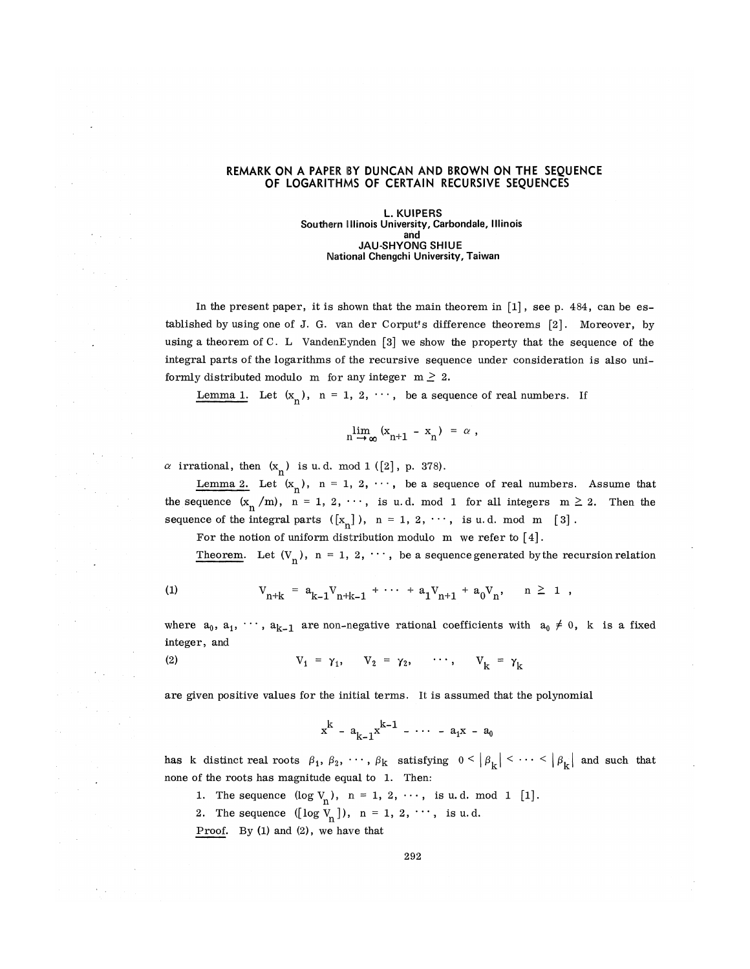## **REMARK ON A PAPER BY DUNCAN AND BROWN ON THE SEQUENCE OF LOGARITHMS OF CERTAIN RECURSIVE SEQUENCES**

**L. KUIPERS Southern Illinois University, Carbondale, Illinois and JAU-SHYONG SHIUE National Chengchi University, Taiwan** 

In the present paper, it is shown that the main theorem in  $[1]$ , see p. 484, can be established by using one of J. G. van der Corput ? s difference theorems [2]. Moreover, by using a theorem of C. L VandenEynden [3] we show the property that the sequence of the integral parts of the logarithms of the recursive sequence under consideration is also uniformly distributed modulo m for any integer  $m \geq 2$ .

Lemma 1. Let  $(x_n)$ ,  $n = 1, 2, \dots$ , be a sequence of real numbers. If

$$
\lim_{n \to \infty} (x_{n+1} - x_n) = \alpha ,
$$

 $\alpha$  irrational, then  $(x_n)$  is u.d. mod 1 ([2], p. 378).

Lemma 2. Let  $(x_n)$ ,  $n = 1, 2, \cdots$ , be a sequence of real numbers. Assume that the sequence  $(x_n / m)$ ,  $n = 1, 2, \cdots$ , is u.d. mod 1 for all integers  $m \ge 2$ . Then the sequence of the integral parts  $([x_n])$ ,  $n = 1, 2, \dots$ , is u.d. mod m [3].

For the notion of uniform distribution modulo m we refer to [4].

Theorem. Let  $(V_n)$ ,  $n = 1, 2, \dots$ , be a sequence generated by the recursion relation

$$
^{(1)}
$$

(1) 
$$
V_{n+k} = a_{k-1}V_{n+k-1} + \cdots + a_1V_{n+1} + a_0V_n, \quad n \ge 1,
$$

where  $a_0, a_1, \dots, a_{k-1}$  are non-negative rational coefficients with  $a_0 \neq 0$ , k is a fixed integer, and

(2) 
$$
V_1 = \gamma_1, \quad V_2 = \gamma_2, \quad \cdots, \quad V_k = \gamma_k
$$

are given positive values for the initial terms. It is assumed that the polynomial

$$
x^{k} - a_{k-1}x^{k-1} - \cdots - a_{1}x - a_{0}
$$

has k distinct real roots  $\beta_1, \beta_2, \cdots, \beta_k$  satisfying  $0 < |\beta_k| < \cdots < |\beta_k|$  and such that none of the roots has magnitude equal to 1. Then:

- 1. The sequence  $(\log V_n)$ , n = 1, 2,  $\cdots$ , is u.d. mod 1 [1].
- 2. The sequence  $([log V_n])$ , n = 1, 2,  $\cdots$ , is u.d.

Proof. By (1) and (2), we have that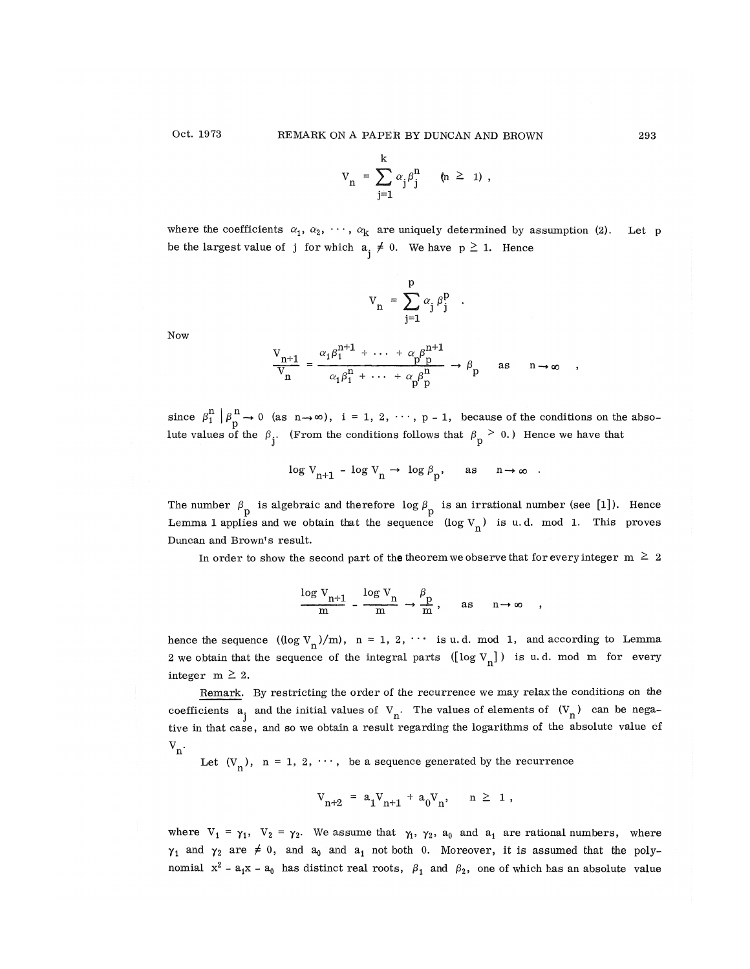$$
V_n = \sum_{j=1}^k \alpha_j \beta_j^n \qquad (n \geq 1) ,
$$

where the coefficients  $\alpha_1, \alpha_2, \cdots, \alpha_k$  are uniquely determined by assumption (2). Let p be the largest value of j for which  $a_i \neq 0$ . We have  $p \geq 1$ . Hence

$$
\mathbf{V}_n \ = \ \sum_{\mathbf{j}=\mathbf{1}}^{\mathbf{p}} \alpha_{\mathbf{j}} \, \beta_{\mathbf{j}}^{\mathbf{p}} \quad .
$$

Now

$$
\frac{V_{n+1}}{V_n} = \frac{\alpha_1 \beta_1^{n+1} + \dots + \alpha_p \beta_p^{n+1}}{\alpha_1 \beta_1^{n} + \dots + \alpha_p \beta_p^{n}} \rightarrow \beta_p \text{ as } n \rightarrow \infty ,
$$

since  $\beta_1^n | \beta_p^n \to 0$  (as  $n \to \infty$ ),  $i = 1, 2, \dots, p-1$ , because of the conditions on the absolute values of the  $\beta_i$ . (From the conditions follows that  $\beta_p > 0$ .) Hence we have that

$$
\log\,V_{n+1}\,-\,\log\,V_n\,\to\,\,\log\,\beta_p,\qquad\text{as}\qquad n\to\infty\quad.
$$

The number  $\beta_{\text{p}}$  is algebraic and therefore  $\log \beta_{\text{p}}$  is an irrational number (see [1]). Hence Lemma 1 applies and we obtain that the sequence  $(\log V_n)$  is u.d. mod 1. This proves Duncan and Brown's result.

In order to show the second part of the theorem we observe that for every integer  $m \geq 2$ 

$$
\frac{\log v_{n+1}}{m} - \frac{\log v_n}{m} \to \frac{\beta_p}{m}, \quad \text{as} \quad n \to \infty ,
$$

m m m hence the sequence  $\left(\frac{\log v_0}{\log v_1}\right)$  m, n = 1, 2,  $\frac{1}{2}$ ,  $\frac{1}{2}$  and  $\frac{1}{2}$  and according to Lemma 2 we obtain that the sequence of the integral parts  $([log V_n])$  is u.d. mod m for every integer  $m \geq 2$ .

Remark. By restricting the order of the recurrence we may relax the conditions on the coefficients  $a_i$  and the initial values of  $V_n$ . The values of elements of  $(V_n)$  can be negative in that case, and so we obtain a result regarding the logarithms of the absolute value cf  $V_{n}$ 

Let  $(V_n)$ ,  $n = 1, 2, \dots$ , be a sequence generated by the recurrence

$$
V_{n+2} \ = \ a_1 V_{n+1} \ + \ a_0 V_n, \qquad n \ \geq \ \ 1 \ ,
$$

where  $V_1 = \gamma_1$ ,  $V_2 = \gamma_2$ . We assume that  $\gamma_1$ ,  $\gamma_2$ ,  $a_0$  and  $a_1$  are rational numbers, where  $\gamma_1$  and  $\gamma_2$  are  $\neq$  0, and  $a_0$  and  $a_1$  not both 0. Moreover, it is assumed that the polynomial  $x^2 - a_1x - a_0$  has distinct real roots,  $\beta_1$  and  $\beta_2$ , one of which has an absolute value